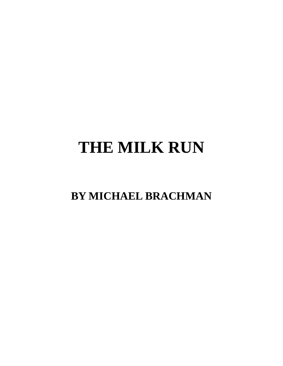# **THE MILK RUN**

**BY MICHAEL BRACHMAN**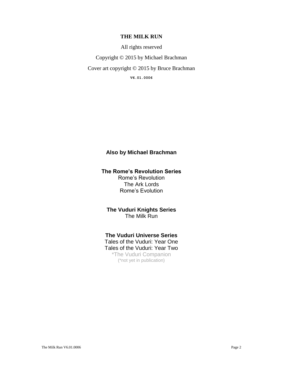#### **THE MILK RUN**

All rights reserved

Copyright © 2015 by Michael Brachman

Cover art copyright © 2015 by Bruce Brachman

**V6.01.0006**

## **Also by Michael Brachman**

#### **The Rome's Revolution Series** Rome's Revolution The Ark Lords Rome's Evolution

**The Vuduri Knights Series** The Milk Run

#### **The Vuduri Universe Series**

Tales of the Vuduri: Year One Tales of the Vuduri: Year Two \*The Vuduri Companion (\*not yet in publication)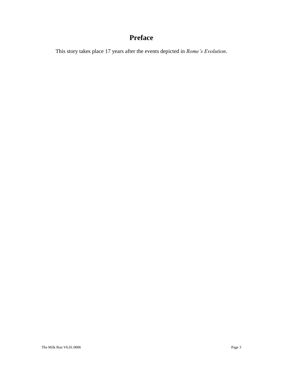# **Preface**

This story takes place 17 years after the events depicted in *Rome's Evolution*.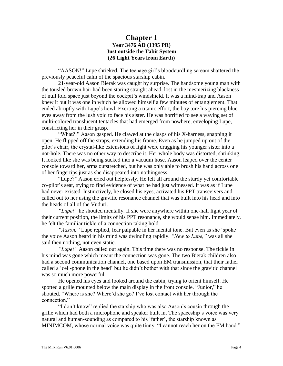## **Chapter 1 Year 3476 AD (1395 PR) Just outside the Tabit System (26 Light Years from Earth)**

"AASON!" Lupe shrieked. The teenage girl's bloodcurdling scream shattered the previously peaceful calm of the spacious starship cabin.

21-year-old Aason Bierak was caught by surprise. The handsome young man with the tousled brown hair had been staring straight ahead, lost in the mesmerizing blackness of null fold space just beyond the cockpit's windshield. It was a mind-trap and Aason knew it but it was one in which he allowed himself a few minutes of entanglement. That ended abruptly with Lupe's howl. Exerting a titanic effort, the boy tore his piercing blue eyes away from the lush void to face his sister. He was horrified to see a waving set of multi-colored translucent tentacles that had emerged from nowhere, enveloping Lupe, constricting her in their grasp.

"What?!" Aason gasped. He clawed at the clasps of his X-harness, snapping it open. He flipped off the straps, extending his frame. Even as he jumped up out of the pilot's chair, the crystal-like extensions of light were dragging his younger sister into a not-hole. There was no other way to describe it. Her whole body was distorted, shrinking. It looked like she was being sucked into a vacuum hose. Aason leaped over the center console toward her, arms outstretched, but he was only able to brush his hand across one of her fingertips just as she disappeared into nothingness.

"Lupe?" Aason cried out helplessly. He felt all around the sturdy yet comfortable co-pilot's seat, trying to find evidence of what he had just witnessed. It was as if Lupe had never existed. Instinctively, he closed his eyes, activated his PPT transceivers and called out to her using the gravitic resonance channel that was built into his head and into the heads of all of the Vuduri.

*"Lupe!"* he shouted mentally. If she were anywhere within one-half light year of their current position, the limits of his PPT resonance, she would sense him. Immediately, he felt the familiar tickle of a connection taking hold.

*"Aason,"* Lupe replied, fear palpable in her mental tone. But even as she 'spoke' the voice Aason heard in his mind was dwindling rapidly. *"New to Lupe,"* was all she said then nothing, not even static.

*"Lupe!"* Aason called out again. This time there was no response. The tickle in his mind was gone which meant the connection was gone. The two Bierak children also had a second communication channel, one based upon EM transmission, that their father called a 'cell-phone in the head' but he didn't bother with that since the gravitic channel was so much more powerful.

He opened his eyes and looked around the cabin, trying to orient himself. He spotted a grille mounted below the main display in the front console. "Junior," he shouted. "Where is she? Where'd she go? I've lost contact with her through the connection."

"I don't know" replied the starship who was also Aason's cousin through the grille which had both a microphone and speaker built in. The spaceship's voice was very natural and human-sounding as compared to his 'father', the starship known as MINIMCOM, whose normal voice was quite tinny. "I cannot reach her on the EM band."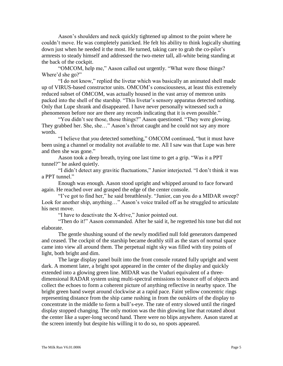Aason's shoulders and neck quickly tightened up almost to the point where he couldn't move. He was completely panicked. He felt his ability to think logically shutting down just when he needed it the most. He turned, taking care to grab the co-pilot's armrests to steady himself and addressed the two-meter tall, all-white being standing at the back of the cockpit.

"OMCOM, help me," Aason called out urgently. "What were those things? Where'd she go?"

"I do not know," replied the livetar which was basically an animated shell made up of VIRUS-based constructor units. OMCOM's consciousness, at least this extremely reduced subset of OMCOM, was actually housed in the vast array of memron units packed into the shell of the starship. "This livetar's sensory apparatus detected nothing. Only that Lupe shrank and disappeared. I have never personally witnessed such a phenomenon before nor are there any records indicating that it is even possible."

"You didn't see those, those things?" Aason questioned. "They were glowing. They grabbed her. She, she…" Aason's throat caught and he could not say any more words.

"I believe that *you* detected something," OMCOM continued, "but it must have been using a channel or modality not available to me. All I saw was that Lupe was here and then she was gone."

Aason took a deep breath, trying one last time to get a grip. "Was it a PPT tunnel?" he asked quietly.

"I didn't detect any gravitic fluctuations," Junior interjected. "I don't think it was a PPT tunnel."

Enough was enough. Aason stood upright and whipped around to face forward again. He reached over and grasped the edge of the center console.

"I've got to find her," he said breathlessly. "Junior, can you do a MIDAR sweep? Look for another ship, anything…" Aason's voice trailed off as he struggled to articulate his next move.

"I have to deactivate the X-drive," Junior pointed out.

"Then do it!" Aason commanded. After he said it, he regretted his tone but did not elaborate.

The gentle shushing sound of the newly modified null fold generators dampened and ceased. The cockpit of the starship became deathly still as the stars of normal space came into view all around them. The perpetual night sky was filled with tiny points of light, both bright and dim.

The large display panel built into the front console rotated fully upright and went dark. A moment later, a bright spot appeared in the center of the display and quickly extended into a glowing green line. MIDAR was the Vuduri equivalent of a threedimensional RADAR system using multi-spectral emissions to bounce off of objects and collect the echoes to form a coherent picture of anything reflective in nearby space. The bright green band swept around clockwise at a rapid pace. Faint yellow concentric rings representing distance from the ship came rushing in from the outskirts of the display to concentrate in the middle to form a bull's-eye. The rate of entry slowed until the ringed display stopped changing. The only motion was the thin glowing line that rotated about the center like a super-long second hand. There were no blips anywhere. Aason stared at the screen intently but despite his willing it to do so, no spots appeared.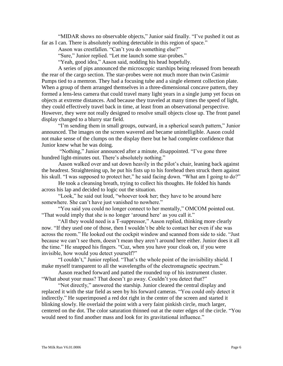"MIDAR shows no observable objects," Junior said finally. "I've pushed it out as far as I can. There is absolutely nothing detectable in this region of space."

Aason was crestfallen. "Can't you do something else?"

"Sure," Junior replied. "Let me launch some star-probes."

"Yeah, good idea," Aason said, nodding his head hopefully.

A series of pips announced the microscopic starships being released from beneath the rear of the cargo section. The star-probes were not much more than twin Casimir Pumps tied to a memron. They had a focusing tube and a single element collection plate. When a group of them arranged themselves in a three-dimensional concave pattern, they formed a lens-less camera that could travel many light years in a single jump yet focus on objects at extreme distances. And because they traveled at many times the speed of light, they could effectively travel back in time, at least from an observational perspective. However, they were not really designed to resolve small objects close up. The front panel display changed to a blurry star field.

"I'm sending them in small groups, outward, in a spherical search pattern," Junior announced. The images on the screen wavered and became unintelligible. Aason could not make sense of the clumps on the display there but he had complete confidence that Junior knew what he was doing.

"Nothing," Junior announced after a minute, disappointed. "I've gone three hundred light-minutes out. There's absolutely nothing."

Aason walked over and sat down heavily in the pilot's chair, leaning back against the headrest. Straightening up, he put his fists up to his forehead then struck them against his skull. "I was supposed to protect her," he said facing down. "What am I going to do?"

He took a cleansing breath, trying to collect his thoughts. He folded his hands across his lap and decided to logic out the situation.

"Look," he said out loud, "whoever took her; they have to be around here somewhere. She can't have just vanished to nowhere."

"You said you could no longer connect to her mentally," OMCOM pointed out. "That would imply that she is no longer 'around here' as you call it."

"All they would need is a T-suppressor," Aason replied, thinking more clearly now. "If they used one of those, then I wouldn't be able to contact her even if she was across the room." He looked out the cockpit window and scanned from side to side. "Just because we can't see them, doesn't mean they aren't around here either. Junior does it all the time." He snapped his fingers. "Cuz, when you have your cloak on, if you were invisible, how would you detect yourself?"

"I couldn't," Junior replied. "That's the whole point of the invisibility shield. I make myself transparent to all the wavelengths of the electromagnetic spectrum."

Aason reached forward and patted the rounded top of his instrument cluster. "What about your mass? That doesn't go away. Couldn't you detect that?"

"Not directly," answered the starship. Junior cleared the central display and replaced it with the star field as seen by his forward cameras. "You could only detect it indirectly." He superimposed a red dot right in the center of the screen and started it blinking slowly. He overlaid the point with a very faint pinkish circle, much larger, centered on the dot. The color saturation thinned out at the outer edges of the circle. "You would need to find another mass and look for its gravitational influence."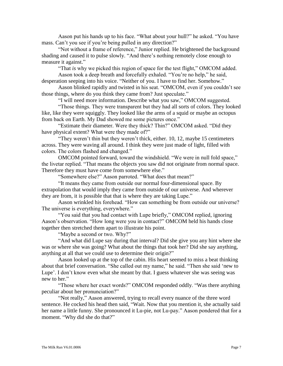Aason put his hands up to his face. "What about your hull?" he asked. "You have mass. Can't you see if you're being pulled in any direction?"

"Not without a frame of reference," Junior replied. He brightened the background shading and caused it to pulse slowly. "And there's nothing remotely close enough to measure it against."

"That *is* why we picked this region of space for the test flight," OMCOM added.

Aason took a deep breath and forcefully exhaled. "You're no help," he said, desperation seeping into his voice. "Neither of you. I have to find her. Somehow."

Aason blinked rapidly and twisted in his seat. "OMCOM, even if you couldn't see those things, where do you think they came from? Just speculate."

"I will need more information. Describe what you saw," OMCOM suggested.

"Those things. They were transparent but they had all sorts of colors. They looked like, like they were squiggly. They looked like the arms of a squid or maybe an octopus from back on Earth. My Dad showed me some pictures once."

"Estimate their diameter. Were they thick? Thin?" OMCOM asked. "Did they have physical extent? What were they made of?"

"They weren't thin but they weren't thick, either. 10, 12, maybe 15 centimeters across. They were waving all around. I think they were just made of light, filled with colors. The colors flashed and changed."

OMCOM pointed forward, toward the windshield. "We were in null fold space," the livetar replied. "That means the objects you saw did not originate from normal space. Therefore they must have come from somewhere else."

"Somewhere else?" Aason parroted. "What does that mean?"

"It means they came from outside our normal four-dimensional space. By extrapolation that would imply they came from outside of our universe. And wherever they are from, it is possible that that is where they are taking Lupe."

Aason wrinkled his forehead. "How can something be from outside our universe? The universe is everything, everywhere."

"You said that you had contact with Lupe briefly," OMCOM replied, ignoring Aason's observation. "How long were you in contact?" OMCOM held his hands close together then stretched them apart to illustrate his point.

"Maybe a second or two. Why?"

"And what did Lupe say during that interval? Did she give you any hint where she was or where she was going? What about the things that took her? Did she say anything, anything at all that we could use to determine their origin?"

Aason looked up at the top of the cabin. His heart seemed to miss a beat thinking about that brief conversation. "She called out my name," he said. "Then she said 'new to Lupe'. I don't know even what she meant by that. I guess whatever she was seeing was new to her."

"Those where her exact words?" OMCOM responded oddly. "Was there anything peculiar about her pronunciation?"

"Not really," Aason answered, trying to recall every nuance of the three word sentence. He cocked his head then said, "Wait. Now that you mention it, she actually said her name a little funny. She pronounced it Lu-pie, not Lu-pay." Aason pondered that for a moment. "Why did she do that?"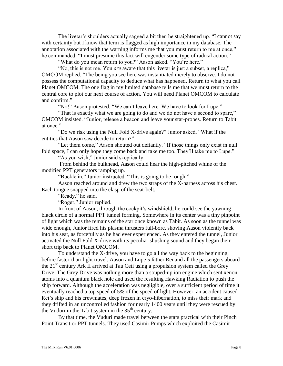The livetar's shoulders actually sagged a bit then he straightened up. "I cannot say with certainty but I know that term is flagged as high importance in my database. The annotation associated with the warning informs me that you must return to me at once," he commanded. "I must presume this fact will engender some type of radical action."

"What do you mean return to you?" Aason asked. "You're here."

"No, this is not me. You *are* aware that this livetar is just a subset, a replica," OMCOM replied. "The being you see here was instantiated merely to observe. I do not possess the computational capacity to deduce what has happened. Return to what you call Planet OMCOM. The one flag in my limited database tells me that we must return to the central core to plot our next course of action. You will need Planet OMCOM to calculate and confirm."

"No!" Aason protested. "We can't leave here. We have to look for Lupe."

"That is exactly what we are going to do and we do not have a second to spare," OMCOM insisted. "Junior, release a beacon and leave your star-probes. Return to Tabit at once"

"Do we risk using the Null Fold X-drive again?" Junior asked. "What if the entities that Aason saw decide to return?"

"Let them come," Aason shouted out defiantly. "If those things only exist in null fold space, I can only hope they come back and take me too. They'll take me to Lupe."

"As you wish," Junior said skeptically.

From behind the bulkhead, Aason could hear the high-pitched whine of the modified PPT generators ramping up.

"Buckle in," Junior instructed. "This is going to be rough."

Aason reached around and drew the two straps of the X-harness across his chest. Each tongue snapped into the clasp of the seat-belt.

"Ready," he said.

"Roger," Junior replied.

In front of Aason, through the cockpit's windshield, he could see the yawning black circle of a normal PPT tunnel forming. Somewhere in its center was a tiny pinpoint of light which was the remains of the star once known as Tabit. As soon as the tunnel was wide enough, Junior fired his plasma thrusters full-bore, shoving Aason violently back into his seat, as forcefully as he had ever experienced. As they entered the tunnel, Junior activated the Null Fold X-drive with its peculiar shushing sound and they began their short trip back to Planet OMCOM.

To understand the X-drive, you have to go all the way back to the beginning, before faster-than-light travel. Aason and Lupe's father Rei and all the passengers aboard the  $21<sup>st</sup>$  century Ark II arrived at Tau Ceti using a propulsion system called the Grey Drive. The Grey Drive was nothing more than a souped-up ion engine which sent xenon atoms into a quantum black hole and used the resulting Hawking Radiation to push the ship forward. Although the acceleration was negligible, over a sufficient period of time it eventually reached a top speed of 5% of the speed of light. However, an accident caused Rei's ship and his crewmates, deep frozen in cryo-hibernation, to miss their mark and they drifted in an uncontrolled fashion for nearly 1400 years until they were rescued by the Vuduri in the Tabit system in the  $35<sup>th</sup>$  century.

By that time, the Vuduri made travel between the stars practical with their Pinch Point Transit or PPT tunnels. They used Casimir Pumps which exploited the Casimir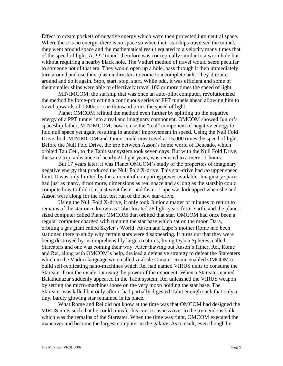Effect to create pockets of negative energy which were then projected into neutral space. Where there is no energy, there is no space so when their starships traversed the tunnel, they went around space and the mathematical result equated to a velocity many times that of the speed of light. A PPT tunnel therefore was conceptually similar to a wormhole but without requiring a nearby black hole. The Vuduri method of travel would seem peculiar to someone not of that era. They would open up a hole, pass through it then immediately turn around and use their plasma thrusters to come to a complete halt. They'd rotate around and do it again. Stop, start, stop, start. While odd, it was efficient and some of their smaller ships were able to effectively travel 100 or more times the speed of light.

MINIMCOM, the starship that was once an auto-pilot computer, revolutionized the method by force-projecting a continuous series of PPT tunnels ahead allowing him to travel upwards of 1000c or one thousand times the speed of light.

Planet OMCOM refined the method even further by splitting up the negative energy of a PPT tunnel into a real and imaginary component. OMCOM showed Junior's spaceship father, MINIMCOM, how to use the "real" component of negative energy to fold null space yet again resulting in another improvement in speed. Using the Null Fold Drive, both MINIMCOM and Junior could now travel at 15,000 times the speed of light. Before the Null Fold Drive, the trip between Aason's home world of Deucado, which orbited Tau Ceti, to the Tabit star system took seven days. But with the Null Fold Drive, the same trip, a distance of nearly 21 light years, was reduced to a mere 11 hours.

But 17 years later, it was Planet OMCOM's study of the properties of imaginary negative energy that produced the Null Fold X-drive. This star-drive had *no* upper speed limit. It was only limited by the amount of computing power available. Imaginary space had just as many, if not more, dimensions as real space and as long as the starship could compute how to fold it, it just went faster and faster. Lupe was kidnapped when she and Aason were along for the first test run of the new star-drive.

Using the Null Fold X-drive, it only took Junior a matter of minutes to return to remains of the star once known as Tabit located 26 light-years from Earth, and the planetsized computer called Planet OMCOM that orbited that star. OMCOM had once been a regular computer charged with running the star base which sat on the moon Dara, orbiting a gas giant called Skyler's World. Aason and Lupe's mother Rome had been stationed there to study why certain stars were disappearing. It turns out that they were being destroyed by incomprehensibly large creatures, living Dyson Spheres, called Stareaters and one was coming their way. After thawing out Aason's father, Rei, Rome and Rei, along with OMCOM's help, devised a defensive strategy to defeat the Stareaters which in the Vuduri language were called Asdrale Cimatir. Rome enabled OMCOM to build self-replicating nano-machines which Rei had named VIRUS units to consume the Stareater from the inside out using the power of the exponent. When a Stareater named Balathunazar suddenly appeared in the Tabit system, Rei unleashed the VIRUS weapon by setting the micro-machines loose on the very moon holding the star base. The Stareater was killed but only after it had partially digested Tabit enough such that only a tiny, barely glowing star remained in its place.

What Rome and Rei did not know at the time was that OMCOM had designed the VIRUS units such that he could transfer his consciousness over to the tremendous bulk which was the remains of the Stareater. When the time was right, OMCOM executed the maneuver and become the largest computer in the galaxy. As a result, even though he